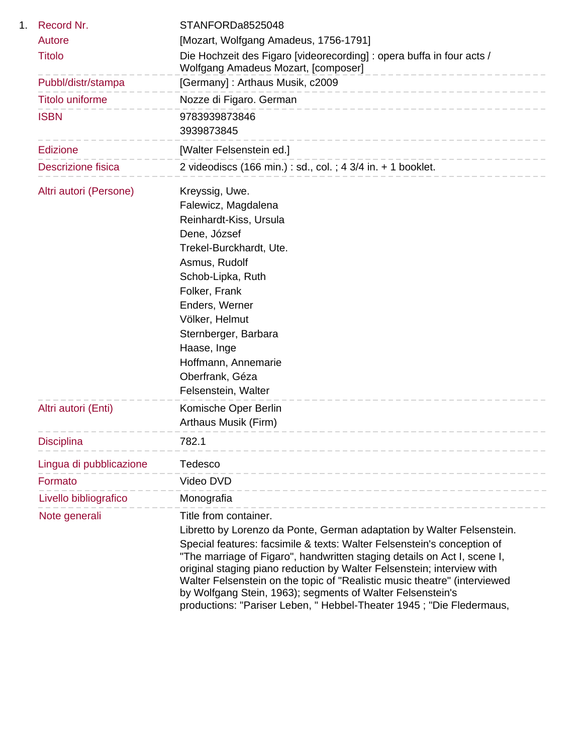| Record Nr.              | STANFORDa8525048                                                                                                                                                                                                                                                                                                                                                                                                                                 |
|-------------------------|--------------------------------------------------------------------------------------------------------------------------------------------------------------------------------------------------------------------------------------------------------------------------------------------------------------------------------------------------------------------------------------------------------------------------------------------------|
| Autore                  | [Mozart, Wolfgang Amadeus, 1756-1791]                                                                                                                                                                                                                                                                                                                                                                                                            |
| <b>Titolo</b>           | Die Hochzeit des Figaro [videorecording] : opera buffa in four acts /<br>Wolfgang Amadeus Mozart, [composer]<br>__________________                                                                                                                                                                                                                                                                                                               |
| Pubbl/distr/stampa      | [Germany]: Arthaus Musik, c2009<br>---------------------------                                                                                                                                                                                                                                                                                                                                                                                   |
| Titolo uniforme         | Nozze di Figaro. German<br>-----------------------------                                                                                                                                                                                                                                                                                                                                                                                         |
| <b>ISBN</b>             | 9783939873846<br>3939873845<br>_________________________________                                                                                                                                                                                                                                                                                                                                                                                 |
| <b>Edizione</b>         | [Walter Felsenstein ed.]                                                                                                                                                                                                                                                                                                                                                                                                                         |
| Descrizione fisica      | ---------------<br>2 videodiscs (166 min.) : sd., col. ; 4 3/4 in. $+$ 1 booklet.                                                                                                                                                                                                                                                                                                                                                                |
| Altri autori (Persone)  | Kreyssig, Uwe.<br>Falewicz, Magdalena<br>Reinhardt-Kiss, Ursula<br>Dene, József<br>Trekel-Burckhardt, Ute.<br>Asmus, Rudolf<br>Schob-Lipka, Ruth<br>Folker, Frank<br>Enders, Werner<br>Völker, Helmut<br>Sternberger, Barbara<br>Haase, Inge<br>Hoffmann, Annemarie<br>Oberfrank, Géza<br>Felsenstein, Walter                                                                                                                                    |
| Altri autori (Enti)     | Komische Oper Berlin<br>Arthaus Musik (Firm)                                                                                                                                                                                                                                                                                                                                                                                                     |
| <b>Disciplina</b>       | 782.1                                                                                                                                                                                                                                                                                                                                                                                                                                            |
| Lingua di pubblicazione | Tedesco                                                                                                                                                                                                                                                                                                                                                                                                                                          |
| Formato                 | Video DVD                                                                                                                                                                                                                                                                                                                                                                                                                                        |
| Livello bibliografico   | Monografia                                                                                                                                                                                                                                                                                                                                                                                                                                       |
| Note generali           | Title from container.                                                                                                                                                                                                                                                                                                                                                                                                                            |
|                         | Libretto by Lorenzo da Ponte, German adaptation by Walter Felsenstein.                                                                                                                                                                                                                                                                                                                                                                           |
|                         | Special features: facsimile & texts: Walter Felsenstein's conception of<br>"The marriage of Figaro", handwritten staging details on Act I, scene I,<br>original staging piano reduction by Walter Felsenstein; interview with<br>Walter Felsenstein on the topic of "Realistic music theatre" (interviewed<br>by Wolfgang Stein, 1963); segments of Walter Felsenstein's<br>productions: "Pariser Leben, " Hebbel-Theater 1945; "Die Fledermaus, |